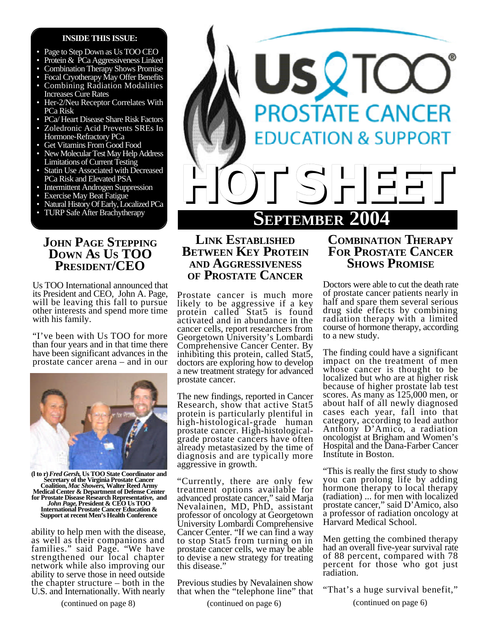#### **INSIDE THIS ISSUE:**

- Page to Step Down as Us TOO CEO
- Protein & PCa Aggressiveness Linked
- Combination Therapy Shows Promise
- Focal Cryotherapy May Offer Benefits
- Combining Radiation Modalities Increases Cure Rates
- Her-2/Neu Receptor Correlates With PCa Risk
- PCa/ Heart Disease Share Risk Factors
- Zoledronic Acid Prevents SREs In Hormone-Refractory PCa
- Get Vitamins From Good Food
- New Molecular Test May Help Address Limitations of Current Testing
- Statin Use Associated with Decreased PCa Risk and Elevated PSA
- Intermittent Androgen Suppression
- Exercise May Beat Fatigue
- Natural History Of Early, Localized PCa
- TURP Safe After Brachytherapy

## **JOHN PAGE STEPPING DOWN AS US TOO PRESIDENT/CEO**

Us TOO International announced that its President and CEO, John A. Page, will be leaving this fall to pursue other interests and spend more time with his family.

"I've been with Us TOO for more than four years and in that time there have been significant advances in the prostate cancer arena – and in our



(1 to r) *Fred Gersh*, Us TOO State Coordinator and<br>Secretary of the Virginia Prostate Cancer<br>Coalition, *Mac Showers*, Walter Reed Army<br>Medical Center & Department of Defense Center **for Prostate Disease Research Representative, and** *John Page,* **President & CEO Us TOO International Prostate Cancer Education & Support at recent Men's Health Conference**

ability to help men with the disease, as well as their companions and families." said Page. "We have strengthened our local chapter network while also improving our ability to serve those in need outside the chapter structure – both in the U.S. and Internationally. With nearly



## **LINK ESTABLISHED BETWEEN KEY PROTEIN AND AGGRESSIVENESS OF PROSTATE CANCER**

Prostate cancer is much more likely to be aggressive if a key protein called Stat5 is found activated and in abundance in the cancer cells, report researchers from Georgetown University's Lombardi Comprehensive Cancer Center. By inhibiting this protein, called Stat5, doctors are exploring how to develop a new treatment strategy for advanced prostate cancer.

The new findings, reported in Cancer Research, show that active Stat5 protein is particularly plentiful in high-histological-grade human prostate cancer. High-histologicalgrade prostate cancers have often already metastasized by the time of diagnosis and are typically more aggressive in growth.

"Currently, there are only few treatment options available for advanced prostate cancer," said Marja Nevalainen, MD, PhD, assistant professor of oncology at Georgetown University Lombardi Comprehensive Cancer Center. "If we can find a way to stop Stat5 from turning on in prostate cancer cells, we may be able to devise a new strategy for treating this disease."

Previous studies by Nevalainen show that when the "telephone line" that

## **COMBINATION THERAPY FOR PROSTATE CANCER SHOWS PROMISE**

Doctors were able to cut the death rate of prostate cancer patients nearly in half and spare them several serious drug side effects by combining radiation therapy with a limited course of hormone therapy, according to a new study.

The finding could have a significant impact on the treatment of men whose cancer is thought to be localized but who are at higher risk because of higher prostate lab test scores. As many as 125,000 men, or about half of all newly diagnosed cases each year, fall into that category, according to lead author Anthony D'Amico, a radiation oncologist at Brigham and Women's Hospital and the Dana-Farber Cancer Institute in Boston.

"This is really the first study to show you can prolong life by adding hormone therapy to local therapy (radiation) ... for men with localized prostate cancer," said D'Amico, also a professor of radiation oncology at Harvard Medical School.

Men getting the combined therapy had an overall five-year survival rate of 88 percent, compared with 78 percent for those who got just radiation.

"That's a huge survival benefit,"

(continued on page 8) (continued on page 6) (continued on page 6)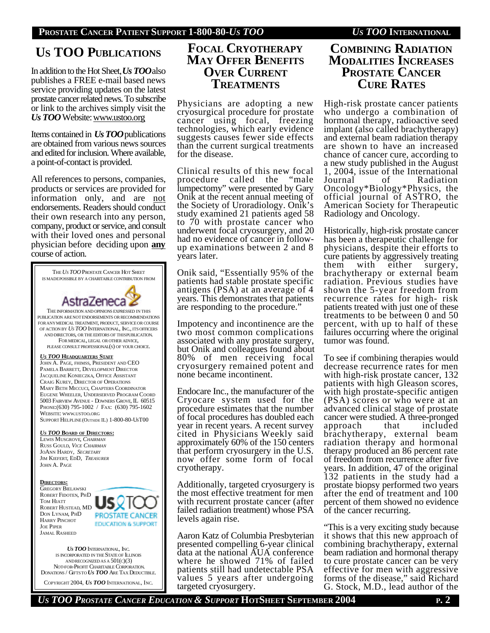# **US TOO PUBLICATIONS**

In addition to the Hot Sheet, *Us TOO*also publishes a FREE e-mail based news service providing updates on the latest prostate cancer related news. To subscribe or link to the archives simply visit the *Us TOO* Website: www.ustoo.org

Items contained in *Us TOO*publications are obtained from various news sources and edited for inclusion. Where available, a point-of-contact is provided.

All references to persons, companies, products or services are provided for information only, and are not endorsements. Readers should conduct their own research into any person, company, product or service, and consult with their loved ones and personal physician before deciding upon **any** course of action.



COPYRIGHT 2004, *US TOO* INTERNATIONAL, INC.

## **FOCAL CRYOTHERAPY MAY OFFER BENEFITS OVER CURRENT TREATMENTS**

Physicians are adopting a new cryosurgical procedure for prostate cancer using focal, freezing technologies, which early evidence suggests causes fewer side effects than the current surgical treatments for the disease.

Clinical results of this new focal procedure called the "male lumpectomy" were presented by Gary Onik at the recent annual meeting of the Society of Uroradiology. Onik's study examined 21 patients aged 58 to 70 with prostate cancer who underwent focal cryosurgery, and 20 had no evidence of cancer in followup examinations between 2 and 8 years later.

Onik said, "Essentially 95% of the patients had stable prostate specific antigens (PSA) at an average of 4 years. This demonstrates that patients are responding to the procedure."

Impotency and incontinence are the two most common complications associated with any prostate surgery, but Onik and colleagues found about 80% of men receiving focal cryosurgery remained potent and none became incontinent.

Endocare Inc., the manufacturer of the Cryocare system used for the procedure estimates that the number of focal procedures has doubled each year in recent years. A recent survey cited in Physicians Weekly said approximately 60% of the 150 centers that perform cryosurgery in the U.S. now offer some form of focal cryotherapy.

Additionally, targeted cryosurgery is the most effective treatment for men with recurrent prostate cancer (after failed radiation treatment) whose PSA levels again rise.

Aaron Katz of Columbia Presbyterian presented compelling 6-year clinical data at the national AUA conference where he showed 71% of failed patients still had undetectable PSA values 5 years after undergoing targeted cryosurgery.

## **COMBINING RADIATION MODALITIES INCREASES PROSTATE CANCER CURE RATES**

High-risk prostate cancer patients who undergo a combination of hormonal therapy, radioactive seed implant (also called brachytherapy) and external beam radiation therapy are shown to have an increased chance of cancer cure, according to a new study published in the August 1, 2004, issue of the International<br>Journal of Radiation Journal of Radiation Oncology\*Biology\*Physics, the official journal of ASTRO, the American Society for Therapeutic Radiology and Oncology.

Historically, high-risk prostate cancer has been a therapeutic challenge for physicians, despite their efforts to cure patients by aggressively treating them with either surgery, brachytherapy or external beam radiation. Previous studies have shown the 5-year freedom from recurrence rates for high- risk patients treated with just one of these treatments to be between 0 and 50 percent, with up to half of these failures occurring where the original tumor was found.

To see if combining therapies would decrease recurrence rates for men with high-risk prostate cancer, 132 patients with high Gleason scores, with high prostate-specific antigen (PSA) scores or who were at an advanced clinical stage of prostate cancer were studied. A three-pronged<br>approach that included approach brachytherapy, external beam radiation therapy and hormonal therapy produced an 86 percent rate of freedom from recurrence after five years. In addition, 47 of the original 132 patients in the study had a prostate biopsy performed two years after the end of treatment and 100 percent of them showed no evidence of the cancer recurring.

"This is a very exciting study because it shows that this new approach of combining brachytherapy, external beam radiation and hormonal therapy to cure prostate cancer can be very effective for men with aggressive forms of the disease," said Richard G. Stock, M.D., lead author of the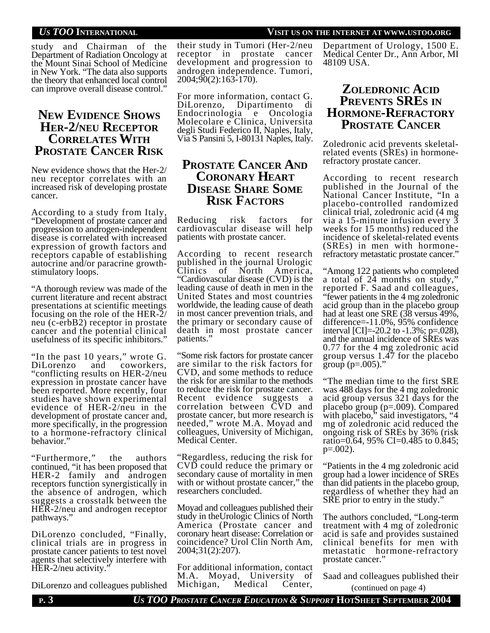#### *US TOO* **INTERNATIONAL VISIT US ON THE INTERNET AT WWW.USTOO.ORG**

study and Chairman of the Department of Radiation Oncology at the Mount Sinai School of Medicine in New York. "The data also supports the theory that enhanced local control can improve overall disease control."

## **NEW EVIDENCE SHOWS HER-2/NEU RECEPTOR CORRELATES WITH PROSTATE CANCER RISK**

New evidence shows that the Her-2/ neu receptor correlates with an increased risk of developing prostate cancer.

According to a study from Italy, "Development of prostate cancer and progression to androgen-independent disease is correlated with increased expression of growth factors and receptors capable of establishing autocrine and/or paracrine growthstimulatory loops.

"A thorough review was made of the current literature and recent abstract presentations at scientific meetings focusing on the role of the HER-2/ neu (c-erbB2) receptor in prostate cancer and the potential clinical usefulness of its specific inhibitors."

"In the past 10 years," wrote G. DiLorenzo and coworkers, "conflicting results on HER-2/neu expression in prostate cancer have been reported. More recently, four studies have shown experimental evidence of HER-2/neu in the development of prostate cancer and, more specifically, in the progression to a hormone-refractory clinical behavior."

"Furthermore," the authors continued, "it has been proposed that HER-2 family and androgen receptors function synergistically in the absence of androgen, which suggests a crosstalk between the HER-2/neu and androgen receptor pathways."

DiLorenzo concluded, "Finally, clinical trials are in progress in prostate cancer patients to test novel agents that selectively interfere with HER-2/neu activity.

DiLorenzo and colleagues published

their study in Tumori (Her-2/neu receptor in prostate cancer development and progression to androgen independence. Tumori,  $2004;90(2):163-170$ .

For more information, contact G. DiLorenzo, Dipartimento di Endocrinologia e Oncologia Molecolare e Clinica, Universita degli Studi Federico II, Naples, Italy, Via S Pansini 5, I-80131 Naples, Italy.

## **PROSTATE CANCER AND CORONARY HEART DISEASE SHARE SOME RISK FACTORS**

Reducing risk factors for cardiovascular disease will help patients with prostate cancer.

According to recent research published in the journal Urologic Clinics of North America, "Cardiovascular disease (CVD) is the leading cause of death in men in the United States and most countries worldwide, the leading cause of death in most cancer prevention trials, and the primary or secondary cause of death in most prostate cancer patients."

"Some risk factors for prostate cancer are similar to the risk factors for CVD, and some methods to reduce the risk for are similar to the methods to reduce the risk for prostate cancer. Recent evidence suggests a correlation between CVD and prostate cancer, but more research is needed," wrote M.A. Moyad and colleagues, University of Michigan, Medical Center.

"Regardless, reducing the risk for CVD could reduce the primary or secondary cause of mortality in men with or without prostate cancer," the researchers concluded.

Moyad and colleagues published their study in theUrologic Clinics of North America (Prostate cancer and coronary heart disease: Correlation or coincidence? Urol Clin North Am, 2004;31(2):207).

For additional information, contact M.A. Moyad, University of Michigan, Medical Center,

Department of Urology, 1500 E. Medical Center Dr., Ann Arbor, MI 48109 USA.

## **ZOLEDRONIC ACID PREVENTS SRES IN HORMONE-REFRACTORY PROSTATE CANCER**

Zoledronic acid prevents skeletalrelated events (SREs) in hormonerefractory prostate cancer.

According to recent research published in the Journal of the National Cancer Institute, "In a placebo-controlled randomized clinical trial, zoledronic acid (4 mg via a 15-minute infusion every 3 weeks for 15 months) reduced the incidence of skeletal-related events (SREs) in men with hormonerefractory metastatic prostate cancer."

"Among 122 patients who completed a total of 24 months on study," reported F. Saad and colleagues, "fewer patients in the 4 mg zoledronic acid group than in the placebo group had at least one SRE (38 versus 49%, difference=-11.0%, 95% confidence interval [CI]=-20.2 to  $-1.3\%$ ; p=.028), and the annual incidence of SREs was 0.77 for the 4 mg zoledronic acid group versus 1.47 for the placebo group ( $p = .005$ )."

"The median time to the first SRE was 488 days for the 4 mg zoledronic acid group versus 321 days for the placebo group (p=.009). Compared with placebo," said investigators, "4 mg of zoledronic acid reduced the ongoing risk of SREs by 36% (risk ratio=0.64, 95% CI=0.485 to 0.845;  $p=.002$ ).

"Patients in the 4 mg zoledronic acid group had a lower incidence of SREs than did patients in the placebo group, regardless of whether they had an SRE prior to entry in the study.'

The authors concluded, "Long-term treatment with 4 mg of zoledronic acid is safe and provides sustained clinical benefits for men with metastatic hormone-refractory prostate cancer."

Saad and colleagues published their (continued on page 4)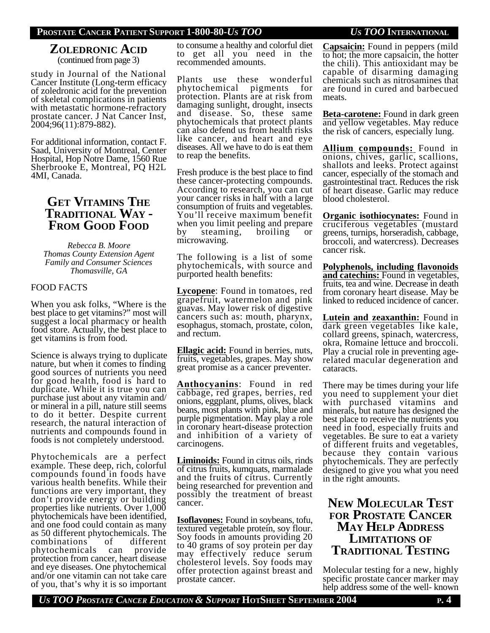### **PROSTATE CANCER PATIENT SUPPORT 1-800-80-***US TOO US TOO* **INTERNATIONAL**

# **ZOLEDRONIC ACID**

(continued from page 3)

study in Journal of the National Cancer Institute (Long-term efficacy of zoledronic acid for the prevention of skeletal complications in patients with metastatic hormone-refractory prostate cancer. J Nat Cancer Inst, 2004;96(11):879-882).

For additional information, contact F. Saad, University of Montreal, Center Hospital, Hop Notre Dame, 1560 Rue Sherbrooke E, Montreal, PQ H2L 4MI, Canada.

## **GET VITAMINS THE TRADITIONAL WAY - FROM GOOD FOOD**

*Rebecca B. Moore Thomas County Extension Agent Family and Consumer Sciences Thomasville, GA*

#### FOOD FACTS

When you ask folks, "Where is the best place to get vitamins?" most will suggest a local pharmacy or health food store. Actually, the best place to get vitamins is from food.

Science is always trying to duplicate nature, but when it comes to finding good sources of nutrients you need for good health, food is hard to duplicate. While it is true you can purchase just about any vitamin and/ or mineral in a pill, nature still seems to do it better. Despite current research, the natural interaction of nutrients and compounds found in foods is not completely understood.

Phytochemicals are a perfect example. These deep, rich, colorful compounds found in foods have various health benefits. While their functions are very important, they don't provide energy or building properties like nutrients. Over 1,000 phytochemicals have been identified, and one food could contain as many as 50 different phytochemicals. The combinations of different phytochemicals can provide protection from cancer, heart disease and eye diseases. One phytochemical and/or one vitamin can not take care of you, that's why it is so important

to consume a healthy and colorful diet to get all you need in the recommended amounts.

Plants use these wonderful phytochemical pigments for protection. Plants are at risk from damaging sunlight, drought, insects and disease. So, these same phytochemicals that protect plants can also defend us from health risks like cancer, and heart and eye diseases. All we have to do is eat them to reap the benefits.

Fresh produce is the best place to find these cancer-protecting compounds. According to research, you can cut your cancer risks in half with a large consumption of fruits and vegetables. You'll receive maximum benefit when you limit peeling and prepare<br>by steaming, broiling or by steaming, microwaving.

The following is a list of some phytochemicals, with source and purported health benefits:

**Lycopene**: Found in tomatoes, red grapefruit, watermelon and pink guavas. May lower risk of digestive cancers such as: mouth, pharynx, esophagus, stomach, prostate, colon, and rectum.

**Ellagic acid:** Found in berries, nuts, fruits, vegetables, grapes. May show great promise as a cancer preventer.

**Anthocyanins**: Found in red cabbage, red grapes, berries, red onions, eggplant, plums, olives, black beans, most plants with pink, blue and purple pigmentation. May play a role in coronary heart-disease protection and inhibition of a variety of carcinogens.

**Liminoids:** Found in citrus oils, rinds of citrus fruits, kumquats, marmalade and the fruits of citrus. Currently being researched for prevention and possibly the treatment of breast cancer.

**Isoflavones:** Found in soybeans, tofu, textured vegetable protein, soy flour. Soy foods in amounts providing 20 to 40 grams of soy protein per day may effectively reduce serum cholesterol levels. Soy foods may offer protection against breast and prostate cancer.

**Capsaicin:** Found in peppers (mild to hot; the more capsaicin, the hotter the chili). This antioxidant may be capable of disarming damaging chemicals such as nitrosamines that are found in cured and barbecued meats.

**Beta-carotene:** Found in dark green and yellow vegetables. May reduce the risk of cancers, especially lung.

**Allium compounds:** Found in onions, chives, garlic, scallions, shallots and leeks. Protect against cancer, especially of the stomach and gastrointestinal tract. Reduces the risk of heart disease. Garlic may reduce blood cholesterol.

**Organic isothiocynates:** Found in cruciferous vegetables (mustard greens, turnips, horseradish, cabbage, broccoli, and watercress). Decreases cancer risk.

**Polyphenols, including flavonoids and catechins:** Found in vegetables, fruits, tea and wine. Decrease in death from coronary heart disease. May be linked to reduced incidence of cancer.

**Lutein and zeaxanthin:** Found in dark green vegetables like kale, collard greens, spinach, watercress, okra, Romaine lettuce and broccoli. Play a crucial role in preventing agerelated macular degeneration and cataracts.

There may be times during your life you need to supplement your diet with purchased vitamins and minerals, but nature has designed the best place to receive the nutrients you need in food, especially fruits and vegetables. Be sure to eat a variety of different fruits and vegetables, because they contain various phytochemicals. They are perfectly designed to give you what you need in the right amounts.

## **NEW MOLECULAR TEST FOR PROSTATE CANCER MAY HELP ADDRESS LIMITATIONS OF TRADITIONAL TESTING**

Molecular testing for a new, highly specific prostate cancer marker may help address some of the well- known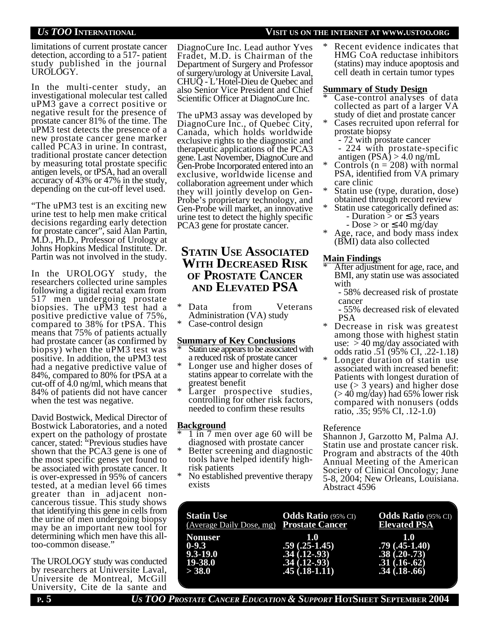*US TOO* **INTERNATIONAL VISIT US ON THE INTERNET AT WWW.USTOO.ORG**

limitations of current prostate cancer detection, according to a 517- patient study published in the journal UROLOGY.

In the multi-center study, an investigational molecular test called uPM3 gave a correct positive or negative result for the presence of prostate cancer 81% of the time. The uPM3 test detects the presence of a new prostate cancer gene marker called PCA3 in urine. In contrast, traditional prostate cancer detection by measuring total prostate specific antigen levels, or tPSA, had an overall accuracy of 43% or 47% in the study, depending on the cut-off level used.

"The uPM3 test is an exciting new urine test to help men make critical decisions regarding early detection for prostate cancer", said Alan Partin, M.D., Ph.D., Professor of Urology at Johns Hopkins Medical Institute. Dr. Partin was not involved in the study.

In the UROLOGY study, the researchers collected urine samples following a digital rectal exam from 517 men undergoing prostate biopsies. The uPM3 test had a positive predictive value of 75%, compared to 38% for tPSA. This means that 75% of patients actually had prostate cancer (as confirmed by biopsy) when the uPM3 test was positive. In addition, the uPM3 test had a negative predictive value of 84%, compared to 80% for tPSA at a cut-off of 4.0 ng/ml, which means that 84% of patients did not have cancer when the test was negative.

David Bostwick, Medical Director of Bostwick Laboratories, and a noted expert on the pathology of prostate cancer, stated: "Previous studies have shown that the PCA3 gene is one of the most specific genes yet found to be associated with prostate cancer. It is over-expressed in 95% of cancers tested, at a median level 66 times greater than in adjacent noncancerous tissue. This study shows that identifying this gene in cells from the urine of men undergoing biopsy may be an important new tool for determining which men have this alltoo-common disease."

The UROLOGY study was conducted by researchers at Universite Laval, Universite de Montreal, McGill University, Cite de la sante and

DiagnoCure Inc. Lead author Yves Fradet, M.D. is Chairman of the Department of Surgery and Professor of surgery/urology at Universite Laval, CHUQ - L'Hotel-Dieu de Quebec and also Senior Vice President and Chief Scientific Officer at DiagnoCure Inc.

The uPM3 assay was developed by DiagnoCure Inc., of Quebec City, Canada, which holds worldwide exclusive rights to the diagnostic and therapeutic applications of the PCA3 gene. Last November, DiagnoCure and Gen-Probe Incorporated entered into an exclusive, worldwide license and collaboration agreement under which they will jointly develop on Gen-Probe's proprietary technology, and Gen-Probe will market, an innovative urine test to detect the highly specific PCA3 gene for prostate cancer.

## **STATIN USE ASSOCIATED WITH DECREASED RISK OF PROSTATE CANCER AND ELEVATED PSA**

- Data from Veterans Administration (VA) study
- Case-control design

#### **Summary of Key Conclusions**

- Statin use appears to be associated with a reduced risk of prostate cancer
- Longer use and higher doses of statins appear to correlate with the greatest benefit
- Larger prospective studies, controlling for other risk factors, needed to confirm these results

#### **Background**

- 1 in 7 men over age 60 will be diagnosed with prostate cancer
- Better screening and diagnostic tools have helped identify highrisk patients
- No established preventive therapy exists

Recent evidence indicates that HMG CoA reductase inhibitors (statins) may induce apoptosis and cell death in certain tumor types

#### **Summary of Study Design**

- Case-control analyses of data collected as part of a larger VA study of diet and prostate cancer
- Cases recruited upon referral for prostate biopsy
	- 72 with prostate cancer
	- 224 with prostate-specific antigen  $(PSA) > 4.0$  ng/mL
- Controls ( $n = 208$ ) with normal PSA, identified from VA primary care clinic
- Statin use (type, duration, dose) obtained through record review
- Statin use categorically defined as:
	- Duration  $>$  or 3 years
- $-Dose > or$  40 mg/day Age, race, and body mass index (BMI) data also collected

### **Main Findings**

- After adjustment for age, race, and BMI, any statin use was associated with
	- 58% decreased risk of prostate cancer
	- 55% decreased risk of elevated PSA
- \* Decrease in risk was greatest among those with highest statin use:  $> 40$  mg/day associated with odds ratio .51 (95% CI, .22-1.18)
- Longer duration of statin use associated with increased benefit: Patients with longest duration of use  $(> 3$  years) and higher dose  $(> 40 \text{ mg/day})$  had 65% lower risk compared with nonusers (odds ratio, .35; 95% CI, .12-1.0)

### Reference

Shannon J, Garzotto M, Palma AJ. Statin use and prostate cancer risk. Program and abstracts of the 40th Annual Meeting of the American Society of Clinical Oncology; June 5-8, 2004; New Orleans, Louisiana. Abstract 4596

| <b>Statin Use</b><br>(Average Daily Dose, mg) Prostate Cancer | <b>Odds Ratio</b> (95% CI) | <b>Odds Ratio</b> (95% CI)<br><b>Elevated PSA</b> |
|---------------------------------------------------------------|----------------------------|---------------------------------------------------|
| <b>Nonuser</b>                                                | 1.0                        | 1.0                                               |
| $0-9.3$                                                       | $.59(.25-1.45)$            | $.79(.45-1.40)$                                   |
| $9.3 - 19.0$                                                  | $.34(.12-.93)$             | $.38(.20-.73)$                                    |
| 19-38.0                                                       | $.34(.12-.93)$             | $.31(.16-.62)$                                    |
| > 38.0                                                        | $.45(.18-1.11)$            | $.34(.18-.66)$                                    |
|                                                               |                            |                                                   |

**P. 5** *US TOO PROSTATE CANCER EDUCATION & SUPPORT* **HOTSHEET SEPTEMBER 2004**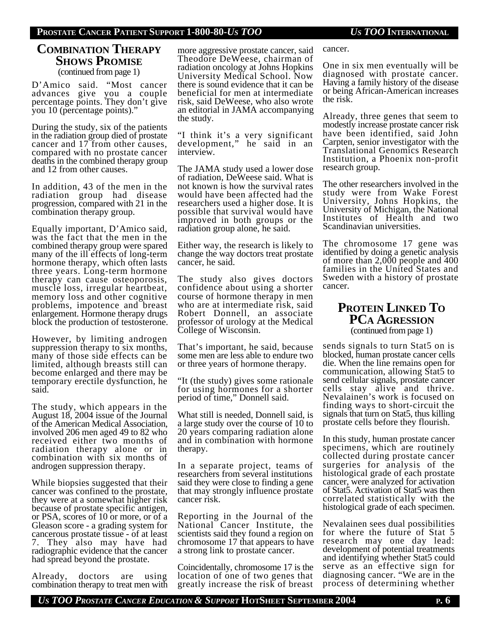#### **PROSTATE CANCER PATIENT SUPPORT 1-800-80-***US TOO US TOO* **INTERNATIONAL**

# **COMBINATION THERAPY SHOWS PROMISE**

(continued from page 1)

D'Amico said. "Most cancer advances give you a couple percentage points. They don't give you 10 (percentage points)."

During the study, six of the patients in the radiation group died of prostate cancer and 17 from other causes, compared with no prostate cancer deaths in the combined therapy group and 12 from other causes.

In addition, 43 of the men in the radiation group had disease progression, compared with 21 in the combination therapy group.

Equally important, D'Amico said, was the fact that the men in the combined therapy group were spared many of the ill effects of long-term hormone therapy, which often lasts three years. Long-term hormone therapy can cause osteoporosis, muscle loss, irregular heartbeat, memory loss and other cognitive problems, impotence and breast enlargement. Hormone therapy drugs block the production of testosterone.

However, by limiting androgen suppression therapy to six months, many of those side effects can be limited, although breasts still can become enlarged and there may be temporary erectile dysfunction, he said.

The study, which appears in the August 18, 2004 issue of the Journal of the American Medical Association, involved 206 men aged 49 to 82 who received either two months of radiation therapy alone or in combination with six months of androgen suppression therapy.

While biopsies suggested that their cancer was confined to the prostate, they were at a somewhat higher risk because of prostate specific antigen, or PSA, scores of 10 or more, or of a Gleason score - a grading system for cancerous prostate tissue - of at least 7. They also may have had radiographic evidence that the cancer had spread beyond the prostate.

Already, doctors are using combination therapy to treat men with

more aggressive prostate cancer, said Theodore DeWeese, chairman of radiation oncology at Johns Hopkins University Medical School. Now there is sound evidence that it can be beneficial for men at intermediate risk, said DeWeese, who also wrote an editorial in JAMA accompanying the study.

"I think it's a very significant development," he said in an interview.

The JAMA study used a lower dose of radiation, DeWeese said. What is not known is how the survival rates would have been affected had the researchers used a higher dose. It is possible that survival would have improved in both groups or the radiation group alone, he said.

Either way, the research is likely to change the way doctors treat prostate cancer, he said.

The study also gives doctors confidence about using a shorter course of hormone therapy in men who are at intermediate risk, said Robert Donnell, an associate professor of urology at the Medical College of Wisconsin.

That's important, he said, because some men are less able to endure two or three years of hormone therapy.

"It (the study) gives some rationale for using hormones for a shorter period of time," Donnell said.

What still is needed, Donnell said, is a large study over the course of 10 to 20 years comparing radiation alone and in combination with hormone therapy.

In a separate project, teams of researchers from several institutions said they were close to finding a gene that may strongly influence prostate cancer risk.

Reporting in the Journal of the National Cancer Institute, the scientists said they found a region on chromosome 17 that appears to have a strong link to prostate cancer.

Coincidentally, chromosome 17 is the location of one of two genes that greatly increase the risk of breast

cancer.

One in six men eventually will be diagnosed with prostate cancer. Having a family history of the disease or being African-American increases the risk.

Already, three genes that seem to modestly increase prostate cancer risk have been identified, said John Carpten, senior investigator with the Translational Genomics Research Institution, a Phoenix non-profit research group.

The other researchers involved in the study were from Wake Forest University, Johns Hopkins, the University of Michigan, the National Institutes of Health and two Scandinavian universities.

The chromosome 17 gene was identified by doing a genetic analysis of more than 2,000 people and 400 families in the United States and Sweden with a history of prostate cancer.

### **PROTEIN LINKED TO PCA AGRESSION** (continued from page 1)

sends signals to turn Stat5 on is blocked, human prostate cancer cells die. When the line remains open for communication, allowing Stat5 to send cellular signals, prostate cancer cells stay alive and thrive. Nevalainen's work is focused on finding ways to short-circuit the signals that turn on Stat5, thus killing prostate cells before they flourish.

In this study, human prostate cancer specimens, which are routinely collected during prostate cancer surgeries for analysis of the histological grade of each prostate cancer, were analyzed for activation of Stat5. Activation of Stat5 was then correlated statistically with the histological grade of each specimen.

Nevalainen sees dual possibilities for where the future of Stat 5 research may one day lead: development of potential treatments and identifying whether Stat5 could serve as an effective sign for diagnosing cancer. "We are in the process of determining whether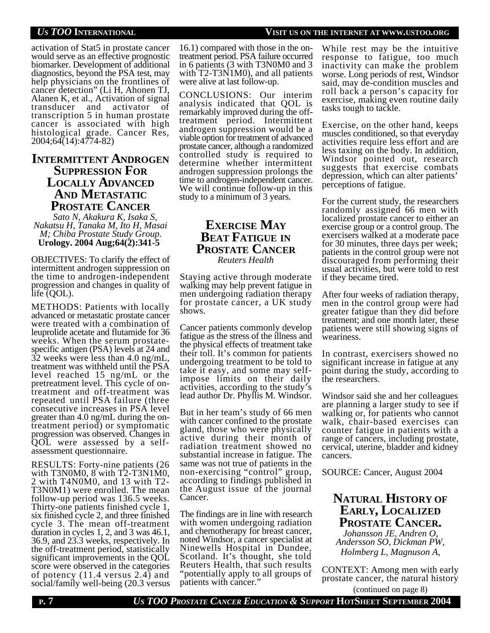#### *US TOO* **INTERNATIONAL VISIT US ON THE INTERNET AT WWW.USTOO.ORG**

activation of Stat5 in prostate cancer would serve as an effective prognostic biomarker. Development of additional diagnostics, beyond the PSA test, may help physicians on the frontlines of cancer detection" (Li H, Ahonen TJ, Alanen K, et al., Activation of signal transducer and activator of transcription 5 in human prostate cancer is associated with high histological grade. Cancer Res, 2004;64(14):4774-82)

## **INTERMITTENT ANDROGEN SUPPRESSION FOR LOCALLY ADVANCED AND METASTATIC PROSTATE CANCER**

 *Sato N, Akakura K, Isaka S, Nakatsu H, Tanaka M, Ito H, Masai M; Chiba Prostate Study Group.*  **Urology. 2004 Aug;64(2):341-5**

OBJECTIVES: To clarify the effect of intermittent androgen suppression on the time to androgen-independent progression and changes in quality of life (QOL).

METHODS: Patients with locally advanced or metastatic prostate cancer were treated with a combination of leuprolide acetate and flutamide for 36 weeks. When the serum prostatespecific antigen (PSA) levels at 24 and 32 weeks were less than 4.0 ng/mL, treatment was withheld until the PSA level reached 15 ng/mL or the pretreatment level. This cycle of ontreatment and off-treatment was repeated until PSA failure (three consecutive increases in PSA level greater than 4.0 ng/mL during the ontreatment period) or symptomatic progression was observed. Changes in QOL were assessed by a selfassessment questionnaire.

RESULTS: Forty-nine patients (26 with T3N0M0, 8 with T2-T3N1M0, 2 with T4N0M0, and 13 with T2- T3N0M1) were enrolled. The mean follow-up period was 136.5 weeks. Thirty-one patients finished cycle 1, six finished cycle 2, and three finished cycle 3. The mean off-treatment duration in cycles 1, 2, and 3 was 46.1, 36.9, and 23.3 weeks, respectively. In the off-treatment period, statistically significant improvements in the QOL score were observed in the categories of potency (11.4 versus 2.4) and social/family well-being (20.3 versus

16.1) compared with those in the ontreatment period. PSA failure occurred in 6 patients (3 with T3N0M0 and 3 with T2-T3N1M0), and all patients were alive at last follow-up.

CONCLUSIONS: Our interim analysis indicated that QOL is remarkably improved during the offtreatment period. Intermittent androgen suppression would be a viable option for treatment of advanced prostate cancer, although a randomized controlled study is required to determine whether intermittent androgen suppression prolongs the time to androgen-independent cancer. We will continue follow-up in this study to a minimum of 3 years.

## **EXERCISE MAY BEAT FATIGUE IN PROSTATE CANCER** *Reuters Health*

Staying active through moderate walking may help prevent fatigue in men undergoing radiation therapy for prostate cancer, a UK study shows.

Cancer patients commonly develop fatigue as the stress of the illness and the physical effects of treatment take their toll. It's common for patients undergoing treatment to be told to take it easy, and some may selfimpose limits on their daily activities, according to the study's lead author Dr. Phyllis M. Windsor.

But in her team's study of 66 men with cancer confined to the prostate gland, those who were physically active during their month of radiation treatment showed no substantial increase in fatigue. The same was not true of patients in the non-exercising "control" group, according to findings published in the August issue of the journal Cancer.

The findings are in line with research with women undergoing radiation and chemotherapy for breast cancer, noted Windsor, a cancer specialist at Ninewells Hospital in Dundee, Scotland. It's thought, she told Reuters Health, that such results "potentially apply to all groups of patients with cancer."

While rest may be the intuitive response to fatigue, too much inactivity can make the problem worse. Long periods of rest, Windsor said, may de-condition muscles and roll back a person's capacity for exercise, making even routine daily tasks tough to tackle.

Exercise, on the other hand, keeps muscles conditioned, so that everyday activities require less effort and are less taxing on the body. In addition, Windsor pointed out, research suggests that exercise combats depression, which can alter patients' perceptions of fatigue.

For the current study, the researchers randomly assigned 66 men with localized prostate cancer to either an exercise group or a control group. The exercisers walked at a moderate pace for 30 minutes, three days per week; patients in the control group were not discouraged from performing their usual activities, but were told to rest if they became tired.

After four weeks of radiation therapy, men in the control group were had greater fatigue than they did before treatment; and one month later, these patients were still showing signs of weariness.

In contrast, exercisers showed no significant increase in fatigue at any point during the study, according to the researchers.

Windsor said she and her colleagues are planning a larger study to see if walking or, for patients who cannot walk, chair-based exercises can counter fatigue in patients with a range of cancers, including prostate, cervical, uterine, bladder and kidney cancers.

SOURCE: Cancer, August 2004

## **NATURAL HISTORY OF EARLY, LOCALIZED PROSTATE CANCER.**

*Johansson JE, Andren O, Andersson SO, Dickman PW, Holmberg L, Magnuson A,*

CONTEXT: Among men with early prostate cancer, the natural history (continued on page 8)